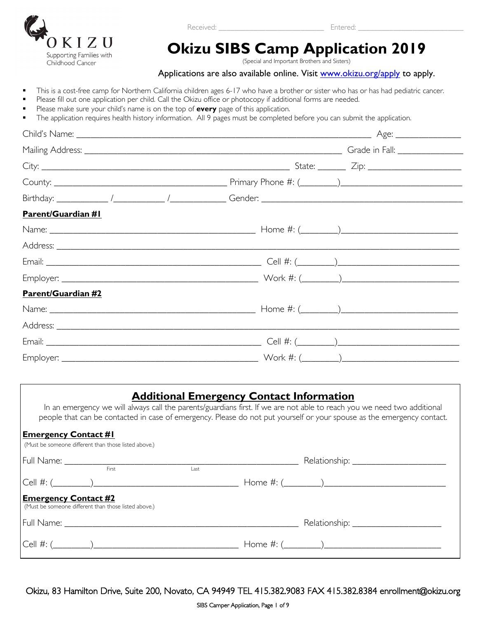

Received: **Entered: Entered: Entered: Entered: Entered:**  $\mathbb{E}$ 

# **Okizu SIBS Camp Application 2019**

(Special and Important Brothers and Sisters)

#### Applications are also available online. Visit [www.okizu.org/apply](http://www.okizu.org/apply) to apply.

- This is a cost-free camp for Northern California children ages 6-17 who have a brother or sister who has or has had pediatric cancer.
- Please fill out one application per child. Call the Okizu office or photocopy if additional forms are needed.
- Please make sure your child's name is on the top of **every** page of this application.
- The application requires health history information. All 9 pages must be completed before you can submit the application.

| <b>Parent/Guardian #1</b> |  |  |
|---------------------------|--|--|
|                           |  |  |
|                           |  |  |
|                           |  |  |
|                           |  |  |
| Parent/Guardian #2        |  |  |
|                           |  |  |
|                           |  |  |
|                           |  |  |
|                           |  |  |

#### **Additional Emergency Contact Information**

In an emergency we will always call the parents/guardians first. If we are not able to reach you we need two additional people that can be contacted in case of emergency. Please do not put yourself or your spouse as the emergency contact.

#### **Emergency Contact #1**

| (Must be someone different than those listed above.)                                |       |      |  |
|-------------------------------------------------------------------------------------|-------|------|--|
|                                                                                     |       |      |  |
|                                                                                     | First | Last |  |
|                                                                                     |       |      |  |
| <b>Emergency Contact #2</b><br>(Must be someone different than those listed above.) |       |      |  |
|                                                                                     |       |      |  |
|                                                                                     |       |      |  |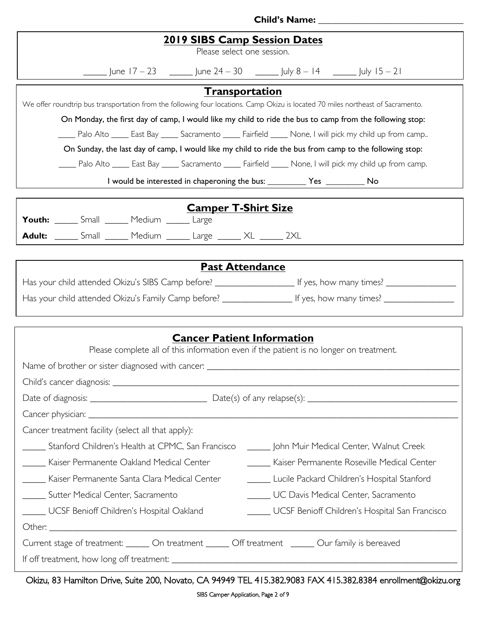| <b>2019 SIBS Camp Session Dates</b><br>Please select one session.                                                                                                                                                                                                                                                                                                                                                                                                                                                                                                                                                                                                                                                                                                              |  |  |  |  |  |
|--------------------------------------------------------------------------------------------------------------------------------------------------------------------------------------------------------------------------------------------------------------------------------------------------------------------------------------------------------------------------------------------------------------------------------------------------------------------------------------------------------------------------------------------------------------------------------------------------------------------------------------------------------------------------------------------------------------------------------------------------------------------------------|--|--|--|--|--|
| $\frac{1}{2}$ June 17 – 23 $\frac{1}{2}$ June 24 – 30 $\frac{1}{2}$ July 8 – 14 $\frac{1}{2}$ July 15 – 21                                                                                                                                                                                                                                                                                                                                                                                                                                                                                                                                                                                                                                                                     |  |  |  |  |  |
| <b>Transportation</b><br>We offer roundtrip bus transportation from the following four locations. Camp Okizu is located 70 miles northeast of Sacramento.<br>On Monday, the first day of camp, I would like my child to ride the bus to camp from the following stop:<br>Palo Alto _____ East Bay _____ Sacramento _____ Fairfield _____ None, I will pick my child up from camp<br>On Sunday, the last day of camp, I would like my child to ride the bus from camp to the following stop:<br>____ Palo Alto _____ East Bay _____ Sacramento _____ Fairfield _____ None, I will pick my child up from camp.<br>I would be interested in chaperoning the bus: _____________ Yes ____________ No<br><b>Camper T-Shirt Size</b><br>Youth: _____ Small ______ Medium ______ Large |  |  |  |  |  |
| Adult: ______ Small ______ Medium ______ Large ______ XL ______ 2XL                                                                                                                                                                                                                                                                                                                                                                                                                                                                                                                                                                                                                                                                                                            |  |  |  |  |  |
| <b>Past Attendance</b>                                                                                                                                                                                                                                                                                                                                                                                                                                                                                                                                                                                                                                                                                                                                                         |  |  |  |  |  |
| Has your child attended Okizu's SIBS Camp before? _______________________ If yes, how many times? _______________                                                                                                                                                                                                                                                                                                                                                                                                                                                                                                                                                                                                                                                              |  |  |  |  |  |
|                                                                                                                                                                                                                                                                                                                                                                                                                                                                                                                                                                                                                                                                                                                                                                                |  |  |  |  |  |
| <b>Cancer Patient Information</b><br>Please complete all of this information even if the patient is no longer on treatment.                                                                                                                                                                                                                                                                                                                                                                                                                                                                                                                                                                                                                                                    |  |  |  |  |  |
|                                                                                                                                                                                                                                                                                                                                                                                                                                                                                                                                                                                                                                                                                                                                                                                |  |  |  |  |  |
|                                                                                                                                                                                                                                                                                                                                                                                                                                                                                                                                                                                                                                                                                                                                                                                |  |  |  |  |  |
| Cancer treatment facility (select all that apply):<br>Stanford Children's Health at CPMC, San Francisco [1888] John Muir Medical Center, Walnut Creek<br>Kaiser Permanente Oakland Medical Center<br><b>Kaiser Permanente Roseville Medical Center</b><br>_____ Kaiser Permanente Santa Clara Medical Center<br>Lucile Packard Children's Hospital Stanford<br>Sutter Medical Center, Sacramento<br>UC Davis Medical Center, Sacramento<br>_____ UCSF Benioff Children's Hospital San Francisco<br>____ UCSF Benioff Children's Hospital Oakland                                                                                                                                                                                                                               |  |  |  |  |  |
| Current stage of treatment: ______ On treatment ______ Off treatment ______ Our family is bereaved                                                                                                                                                                                                                                                                                                                                                                                                                                                                                                                                                                                                                                                                             |  |  |  |  |  |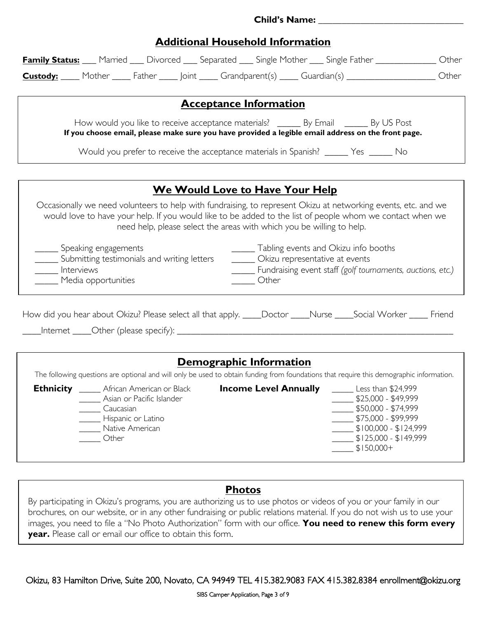### **Additional Household Information**

| <b>Family Status:</b> Married ___ Divorced ___ Separated ___ Single Mother ___ Single Father ______________ Other |                    |                                                                                                                                                                                                                                                                                                      |                                        |       |  |                                                                                       |                                                                                                                                                                                                            |  |
|-------------------------------------------------------------------------------------------------------------------|--------------------|------------------------------------------------------------------------------------------------------------------------------------------------------------------------------------------------------------------------------------------------------------------------------------------------------|----------------------------------------|-------|--|---------------------------------------------------------------------------------------|------------------------------------------------------------------------------------------------------------------------------------------------------------------------------------------------------------|--|
| <b>Custody:</b> Mother Father Joint Grandparent(s) Guardian(s) Custom Mother                                      |                    |                                                                                                                                                                                                                                                                                                      |                                        |       |  |                                                                                       |                                                                                                                                                                                                            |  |
|                                                                                                                   |                    |                                                                                                                                                                                                                                                                                                      |                                        |       |  |                                                                                       |                                                                                                                                                                                                            |  |
|                                                                                                                   |                    |                                                                                                                                                                                                                                                                                                      | <b>Acceptance Information</b>          |       |  |                                                                                       |                                                                                                                                                                                                            |  |
|                                                                                                                   |                    | How would you like to receive acceptance materials? _______ By Email _______ By US Post<br>If you choose email, please make sure you have provided a legible email address on the front page.                                                                                                        |                                        |       |  |                                                                                       |                                                                                                                                                                                                            |  |
|                                                                                                                   |                    | Would you prefer to receive the acceptance materials in Spanish? ______ Yes ______ No                                                                                                                                                                                                                |                                        |       |  |                                                                                       |                                                                                                                                                                                                            |  |
|                                                                                                                   |                    |                                                                                                                                                                                                                                                                                                      |                                        |       |  |                                                                                       |                                                                                                                                                                                                            |  |
|                                                                                                                   |                    |                                                                                                                                                                                                                                                                                                      | <b>We Would Love to Have Your Help</b> |       |  |                                                                                       |                                                                                                                                                                                                            |  |
|                                                                                                                   |                    | Occasionally we need volunteers to help with fundraising, to represent Okizu at networking events, etc. and we<br>would love to have your help. If you would like to be added to the list of people whom we contact when we<br>need help, please select the areas with which you be willing to help. |                                        |       |  |                                                                                       |                                                                                                                                                                                                            |  |
| ______ Speaking engagements<br>Interviews<br>Media opportunities                                                  |                    | _____ Submitting testimonials and writing letters                                                                                                                                                                                                                                                    |                                        | Other |  | _______ Tabling events and Okizu info booths<br>______ Okizu representative at events | _____ Fundraising event staff (golf tournaments, auctions, etc.)                                                                                                                                           |  |
| How did you hear about Okizu? Please select all that apply. ____Doctor ____Nurse ____Social Worker _____ Friend   |                    |                                                                                                                                                                                                                                                                                                      |                                        |       |  |                                                                                       |                                                                                                                                                                                                            |  |
|                                                                                                                   |                    |                                                                                                                                                                                                                                                                                                      | Demographic Information                |       |  |                                                                                       |                                                                                                                                                                                                            |  |
|                                                                                                                   |                    | The following questions are optional and will only be used to obtain funding from foundations that require this demographic information.                                                                                                                                                             |                                        |       |  |                                                                                       |                                                                                                                                                                                                            |  |
|                                                                                                                   | Caucasian<br>Other | <b>Ethnicity</b> ______ African American or Black<br>Asian or Pacific Islander<br>Hispanic or Latino<br>Native American                                                                                                                                                                              |                                        |       |  |                                                                                       | <b>Income Level Annually</b> ______ Less than \$24,999<br>\$25,000 - \$49,999<br>\$50,000 - \$74,999<br>$\frac{1}{2}$ \$75,000 - \$99,999<br>$$100,000 - $124,999$<br>$$125,000 - $149,999$<br>$$150,000+$ |  |
|                                                                                                                   |                    |                                                                                                                                                                                                                                                                                                      |                                        |       |  |                                                                                       |                                                                                                                                                                                                            |  |

#### **Photos**

By participating in Okizu's programs, you are authorizing us to use photos or videos of you or your family in our brochures, on our website, or in any other fundraising or public relations material. If you do not wish us to use your images, you need to file a "No Photo Authorization" form with our office. **You need to renew this form every year.** Please call or email our office to obtain this form.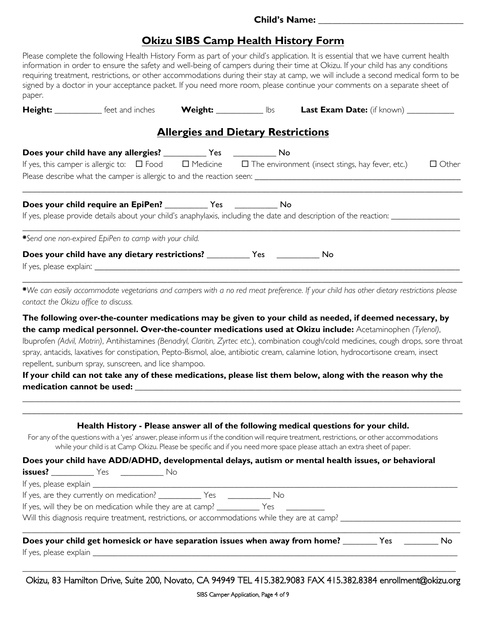#### **Child's Name:**

## **Okizu SIBS Camp Health History Form**

| paper.                               |                                                                                     |                                           | Please complete the following Health History Form as part of your child's application. It is essential that we have current health<br>information in order to ensure the safety and well-being of campers during their time at Okizu. If your child has any conditions<br>requiring treatment, restrictions, or other accommodations during their stay at camp, we will include a second medical form to be<br>signed by a doctor in your acceptance packet. If you need more room, please continue your comments on a separate sheet of |              |
|--------------------------------------|-------------------------------------------------------------------------------------|-------------------------------------------|------------------------------------------------------------------------------------------------------------------------------------------------------------------------------------------------------------------------------------------------------------------------------------------------------------------------------------------------------------------------------------------------------------------------------------------------------------------------------------------------------------------------------------------|--------------|
|                                      |                                                                                     |                                           | Height: ____________ feet and inches Weight: ___________ lbs Last Exam Date: (if known) ___________                                                                                                                                                                                                                                                                                                                                                                                                                                      |              |
|                                      |                                                                                     | <b>Allergies and Dietary Restrictions</b> |                                                                                                                                                                                                                                                                                                                                                                                                                                                                                                                                          |              |
|                                      | Does your child have any allergies? ____________ Yes ______________ No              |                                           |                                                                                                                                                                                                                                                                                                                                                                                                                                                                                                                                          |              |
|                                      |                                                                                     |                                           | If yes, this camper is allergic to: $\square$ Food $\square$ Medicine $\square$ The environment (insect stings, hay fever, etc.)                                                                                                                                                                                                                                                                                                                                                                                                         | $\Box$ Other |
|                                      |                                                                                     |                                           |                                                                                                                                                                                                                                                                                                                                                                                                                                                                                                                                          |              |
|                                      | Does your child require an EpiPen? ______________ Yes ________________ No           |                                           | If yes, please provide details about your child's anaphylaxis, including the date and description of the reaction: ____________________                                                                                                                                                                                                                                                                                                                                                                                                  |              |
|                                      |                                                                                     |                                           |                                                                                                                                                                                                                                                                                                                                                                                                                                                                                                                                          |              |
|                                      | *Send one non-expired EpiPen to camp with your child.                               |                                           |                                                                                                                                                                                                                                                                                                                                                                                                                                                                                                                                          |              |
|                                      | Does your child have any dietary restrictions? ______________ Yes ______________ No |                                           |                                                                                                                                                                                                                                                                                                                                                                                                                                                                                                                                          |              |
|                                      |                                                                                     |                                           |                                                                                                                                                                                                                                                                                                                                                                                                                                                                                                                                          |              |
| contact the Okizu office to discuss. |                                                                                     |                                           | *We can easily accommodate vegetarians and campers with a no red meat preference. If your child has other dietary restrictions please                                                                                                                                                                                                                                                                                                                                                                                                    |              |

**The following over-the-counter medications may be given to your child as needed, if deemed necessary, by the camp medical personnel. Over-the-counter medications used at Okizu include:** Acetaminophen *(Tylenol)*, Ibuprofen *(Advil, Motrin)*, Antihistamines *(Benadryl, Claritin, Zyrtec et*c.), combination cough/cold medicines, cough drops, sore throat spray, antacids, laxatives for constipation, Pepto-Bismol, aloe, antibiotic cream, calamine lotion, hydrocortisone cream, insect repellent, sunburn spray, sunscreen, and lice shampoo.

**If your child can not take any of these medications, please list them below, along with the reason why the**  medication cannot be used:

\_\_\_\_\_\_\_\_\_\_\_\_\_\_\_\_\_\_\_\_\_\_\_\_\_\_\_\_\_\_\_\_\_\_\_\_\_\_\_\_\_\_\_\_\_\_\_\_\_\_\_\_\_\_\_\_\_\_\_\_\_\_\_\_\_\_\_\_\_\_\_\_\_\_\_\_\_\_\_\_\_\_\_\_\_\_\_\_\_\_\_\_\_\_\_\_\_\_\_\_\_\_

|                                                        | Does your child have ADD/ADHD, developmental delays, autism or mental health issues, or behavioral |
|--------------------------------------------------------|----------------------------------------------------------------------------------------------------|
| <b>issues?</b> ______________Yes ___________________No |                                                                                                    |
|                                                        |                                                                                                    |
|                                                        |                                                                                                    |
|                                                        |                                                                                                    |
|                                                        |                                                                                                    |
|                                                        |                                                                                                    |

Okizu, 83 Hamilton Drive, Suite 200, Novato, CA 94949 TEL 415.382.9083 FAX 415.382.8384 enrollment@okizu.org **\_\_\_\_\_\_\_\_\_\_\_\_\_\_\_\_\_\_\_\_\_\_\_\_\_\_\_\_\_\_\_\_\_\_\_\_\_\_\_\_\_\_\_\_\_\_\_\_\_\_\_\_\_\_\_\_\_\_\_\_\_\_\_\_\_\_\_\_\_\_\_\_\_\_\_\_\_\_\_\_\_\_\_\_\_\_\_\_\_\_\_\_\_\_\_\_\_\_\_\_\_**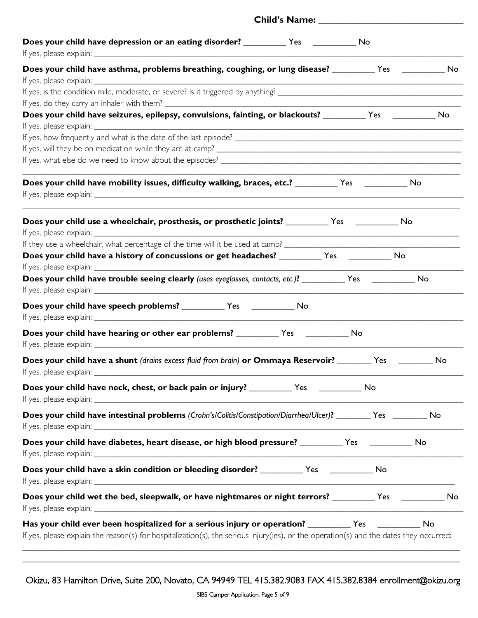| No<br>No | Child's Name: Names                                                                                                                                                                                                                           |
|----------|-----------------------------------------------------------------------------------------------------------------------------------------------------------------------------------------------------------------------------------------------|
|          |                                                                                                                                                                                                                                               |
|          | Does your child have asthma, problems breathing, coughing, or lung disease? ___________Yes ______________No                                                                                                                                   |
|          |                                                                                                                                                                                                                                               |
|          | Does your child have seizures, epilepsy, convulsions, fainting, or blackouts? _________ Yes _________ No                                                                                                                                      |
|          |                                                                                                                                                                                                                                               |
|          |                                                                                                                                                                                                                                               |
|          |                                                                                                                                                                                                                                               |
|          | Does your child have mobility issues, difficulty walking, braces, etc.? _________ Yes _________ No                                                                                                                                            |
|          | Does your child use a wheelchair, prosthesis, or prosthetic joints? ___________ Yes ____________ No                                                                                                                                           |
|          |                                                                                                                                                                                                                                               |
|          | Does your child have a history of concussions or get headaches? __________ Yes ___________ No                                                                                                                                                 |
|          |                                                                                                                                                                                                                                               |
|          | Does your child have trouble seeing clearly (uses eyeglasses, contacts, etc.)? __________ Yes ___________ No                                                                                                                                  |
|          |                                                                                                                                                                                                                                               |
|          | Does your child have hearing or other ear problems? _____________ Yes _______________ No                                                                                                                                                      |
|          | Does your child have a shunt (drains excess fluid from brain) or Ommaya Reservoir? _______ Yes ________                                                                                                                                       |
|          | Does your child have neck, chest, or back pain or injury? ____________ Yes _____________ No                                                                                                                                                   |
|          | Does your child have intestinal problems (Crohn's/Colitis/Constipation/Diarrhea/Ulcer)? _______ Yes _______ No                                                                                                                                |
|          | Does your child have diabetes, heart disease, or high blood pressure? _________ Yes __________ No                                                                                                                                             |
|          | Does your child have a skin condition or bleeding disorder? ____________ Yes _____________ No                                                                                                                                                 |
|          | Does your child wet the bed, sleepwalk, or have nightmares or night terrors? __________ Yes ___________ No                                                                                                                                    |
|          | Has your child ever been hospitalized for a serious injury or operation? __________Yes ____________<br>If yes, please explain the reason(s) for hospitalization(s), the serious injury(ies), or the operation(s) and the dates they occurred: |

Okizu, 83 Hamilton Drive, Suite 200, Novato, CA 94949 TEL 415.382.9083 FAX 415.382.8384 enrollment@okizu.org

\_\_\_\_\_\_\_\_\_\_\_\_\_\_\_\_\_\_\_\_\_\_\_\_\_\_\_\_\_\_\_\_\_\_\_\_\_\_\_\_\_\_\_\_\_**\_\_\_\_\_\_\_\_\_\_\_\_\_\_\_\_\_\_\_\_\_\_\_\_\_\_\_\_\_\_\_\_\_\_\_\_\_\_\_\_\_\_\_\_\_\_\_\_\_\_\_\_\_\_\_\_\_**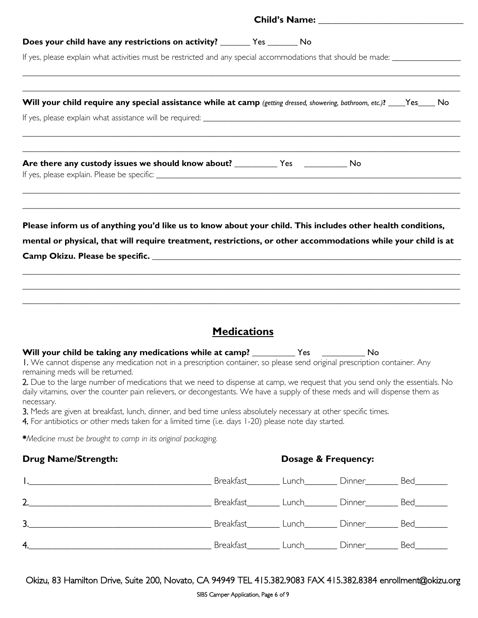| Does your child have any restrictions on activity? _________ Yes _________ No                                                                                                                                                                                                                                                                                                                                                                                                                                                                                                                                                                                                                                                                                       |                    |                     |                                                                                                                         |
|---------------------------------------------------------------------------------------------------------------------------------------------------------------------------------------------------------------------------------------------------------------------------------------------------------------------------------------------------------------------------------------------------------------------------------------------------------------------------------------------------------------------------------------------------------------------------------------------------------------------------------------------------------------------------------------------------------------------------------------------------------------------|--------------------|---------------------|-------------------------------------------------------------------------------------------------------------------------|
| If yes, please explain what activities must be restricted and any special accommodations that should be made: _________________________                                                                                                                                                                                                                                                                                                                                                                                                                                                                                                                                                                                                                             |                    |                     |                                                                                                                         |
| Will your child require any special assistance while at camp (getting dressed, showering, bathroom, etc.)? ____Yes____ No                                                                                                                                                                                                                                                                                                                                                                                                                                                                                                                                                                                                                                           |                    |                     |                                                                                                                         |
| ,我们也不能在这里的人,我们也不能在这里的人,我们也不能在这里的人,我们也不能在这里的人,我们也不能在这里的人,我们也不能在这里的人,我们也不能在这里的人,我们也                                                                                                                                                                                                                                                                                                                                                                                                                                                                                                                                                                                                                                                                                   |                    |                     |                                                                                                                         |
|                                                                                                                                                                                                                                                                                                                                                                                                                                                                                                                                                                                                                                                                                                                                                                     |                    |                     | <u> 1989 - Johann John Stoff, deutscher Stoff als der Stoff aus der Stoff als der Stoff als der Stoff als der Stoff</u> |
| Please inform us of anything you'd like us to know about your child. This includes other health conditions,<br>mental or physical, that will require treatment, restrictions, or other accommodations while your child is at                                                                                                                                                                                                                                                                                                                                                                                                                                                                                                                                        |                    |                     |                                                                                                                         |
| ,我们也不能在这里的人,我们也不能在这里的人,我们也不能在这里的人,我们也不能在这里的人,我们也不能在这里的人,我们也不能在这里的人,我们也不能在这里的人,我们也                                                                                                                                                                                                                                                                                                                                                                                                                                                                                                                                                                                                                                                                                   | <b>Medications</b> |                     |                                                                                                                         |
| Will your child be taking any medications while at camp? ____________ Yes _____________ No<br>I. We cannot dispense any medication not in a prescription container, so please send original prescription container. Any<br>remaining meds will be returned.<br>2. Due to the large number of medications that we need to dispense at camp, we request that you send only the essentials. No<br>daily vitamins, over the counter pain relievers, or decongestants. We have a supply of these meds and will dispense them as<br>necessary.<br>3. Meds are given at breakfast, lunch, dinner, and bed time unless absolutely necessary at other specific times.<br>4. For antibiotics or other meds taken for a limited time (i.e. days 1-20) please note day started. |                    |                     |                                                                                                                         |
| *Medicine must be brought to camp in its original packaging.                                                                                                                                                                                                                                                                                                                                                                                                                                                                                                                                                                                                                                                                                                        |                    |                     |                                                                                                                         |
| <b>Drug Name/Strength:</b>                                                                                                                                                                                                                                                                                                                                                                                                                                                                                                                                                                                                                                                                                                                                          |                    | Dosage & Frequency: |                                                                                                                         |
|                                                                                                                                                                                                                                                                                                                                                                                                                                                                                                                                                                                                                                                                                                                                                                     |                    |                     |                                                                                                                         |
| 2. 2. 2. Dinner Bed                                                                                                                                                                                                                                                                                                                                                                                                                                                                                                                                                                                                                                                                                                                                                 |                    |                     |                                                                                                                         |
|                                                                                                                                                                                                                                                                                                                                                                                                                                                                                                                                                                                                                                                                                                                                                                     |                    |                     |                                                                                                                         |
| 4. March 2011   March 2011   March 2012   March 2012   March 2012   March 2014   March 2014   March 2012   March 2013   March 2014   March 2013   March 2014   March 2013   March 2013   March 2013   March 2014   March 2014                                                                                                                                                                                                                                                                                                                                                                                                                                                                                                                                       |                    |                     |                                                                                                                         |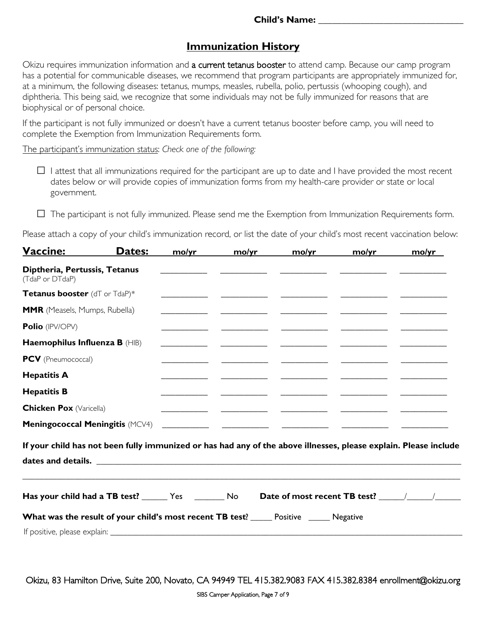## **Immunization History**

Okizu requires immunization information and a current tetanus booster to attend camp. Because our camp program has a potential for communicable diseases, we recommend that program participants are appropriately immunized for, at a minimum, the following diseases: tetanus, mumps, measles, rubella, polio, pertussis (whooping cough), and diphtheria. This being said, we recognize that some individuals may not be fully immunized for reasons that are biophysical or of personal choice.

If the participant is not fully immunized or doesn't have a current tetanus booster before camp, you will need to complete the Exemption from Immunization Requirements form.

The participant's immunization status: *Check one of the following:*

- $\square$  I attest that all immunizations required for the participant are up to date and I have provided the most recent dates below or will provide copies of immunization forms from my health-care provider or state or local government.
- $\Box$  The participant is not fully immunized. Please send me the Exemption from Immunization Requirements form.

Please attach a copy of your child's immunization record, or list the date of your child's most recent vaccination below:

| Vaccine:                                         | Dates:                                                                                                           | mo/yr | mo/yr | mo/yr | mo/yr                                    | mo/yr |
|--------------------------------------------------|------------------------------------------------------------------------------------------------------------------|-------|-------|-------|------------------------------------------|-------|
| Diptheria, Pertussis, Tetanus<br>(TdaP or DTdaP) |                                                                                                                  |       |       |       |                                          |       |
| Tetanus booster (dT or TdaP)*                    |                                                                                                                  |       |       |       |                                          |       |
| <b>MMR</b> (Measels, Mumps, Rubella)             |                                                                                                                  |       |       |       |                                          |       |
| Polio (IPV/OPV)                                  |                                                                                                                  |       |       |       | <u> 1989 - Jan James James (b. 1989)</u> |       |
| Haemophilus Influenza B (HIB)                    |                                                                                                                  |       |       |       |                                          |       |
| PCV (Pneumococcal)                               |                                                                                                                  |       |       |       |                                          |       |
| <b>Hepatitis A</b>                               |                                                                                                                  |       |       |       |                                          |       |
| <b>Hepatitis B</b>                               |                                                                                                                  |       |       |       |                                          |       |
| <b>Chicken Pox (Varicella)</b>                   |                                                                                                                  |       |       |       |                                          |       |
| <b>Meningococcal Meningitis (MCV4)</b>           |                                                                                                                  |       |       |       |                                          |       |
|                                                  | If your child has not been fully immunized or has had any of the above illnesses, please explain. Please include |       |       |       |                                          |       |
|                                                  |                                                                                                                  |       |       |       |                                          |       |
|                                                  | Has your child had a TB test? _______ Yes __________ No                                                          |       |       |       |                                          |       |
|                                                  | <b>What was the result of your child's most recent TB test?</b> _____ Positive _____ Negative                    |       |       |       |                                          |       |
|                                                  |                                                                                                                  |       |       |       |                                          |       |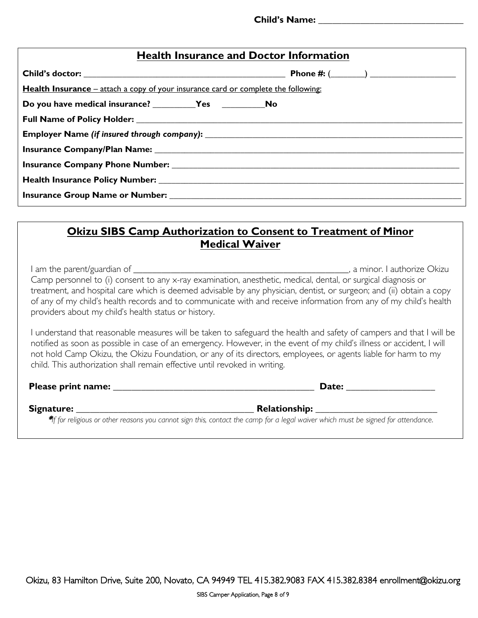| <b>Health Insurance and Doctor Information</b>                                     |  |  |  |  |  |
|------------------------------------------------------------------------------------|--|--|--|--|--|
|                                                                                    |  |  |  |  |  |
| Health Insurance – attach a copy of your insurance card or complete the following: |  |  |  |  |  |
|                                                                                    |  |  |  |  |  |
|                                                                                    |  |  |  |  |  |
|                                                                                    |  |  |  |  |  |
|                                                                                    |  |  |  |  |  |
|                                                                                    |  |  |  |  |  |
|                                                                                    |  |  |  |  |  |
|                                                                                    |  |  |  |  |  |

### **Okizu SIBS Camp Authorization to Consent to Treatment of Minor Medical Waiver**

| I am the parent/guardian of ____                                                                                      | , a minor. I authorize Okizu |
|-----------------------------------------------------------------------------------------------------------------------|------------------------------|
| Camp personnel to (i) consent to any x-ray examination, anesthetic, medical, dental, or surgical diagnosis or         |                              |
| treatment, and hospital care which is deemed advisable by any physician, dentist, or surgeon; and (ii) obtain a copy  |                              |
| of any of my child's health records and to communicate with and receive information from any of my child's health     |                              |
| providers about my child's health status or history.                                                                  |                              |
|                                                                                                                       |                              |
| I understand that reasonable measures will be taken to safeguard the health and safety of campers and that I will be  |                              |
| notified as soon as possible in case of an emergency. However, in the event of my child's illness or accident, I will |                              |
| not hold Camp Okizu, the Okizu Foundation, or any of its directors, employees, or agents liable for harm to my        |                              |
| child. This authorization shall remain effective until revoked in writing.                                            |                              |
| Please print name:                                                                                                    | Date:                        |
|                                                                                                                       |                              |

 **Signature: \_\_\_\_\_\_\_\_\_\_\_\_\_\_\_\_\_\_\_\_\_\_\_\_\_\_\_\_\_\_\_\_\_\_\_\_\_\_ Relationship: \_\_\_\_\_\_\_\_\_\_\_\_\_\_\_\_\_\_\_\_\_\_\_\_\_\_**

\**If for religious or other reasons you cannot sign this, contact the camp for a legal waiver which must be signed for attendance*.